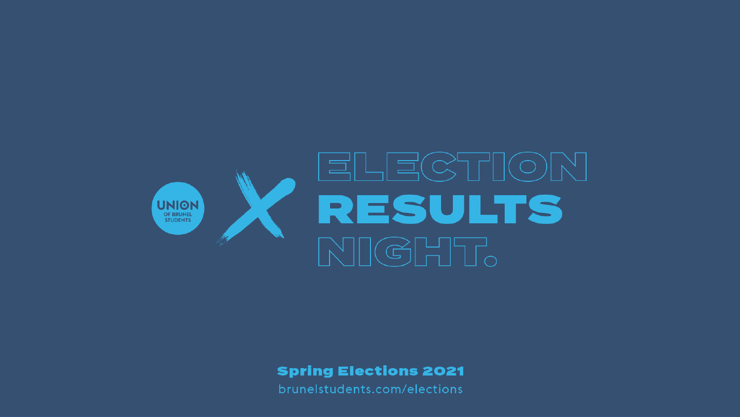

**Spring Elections 2021**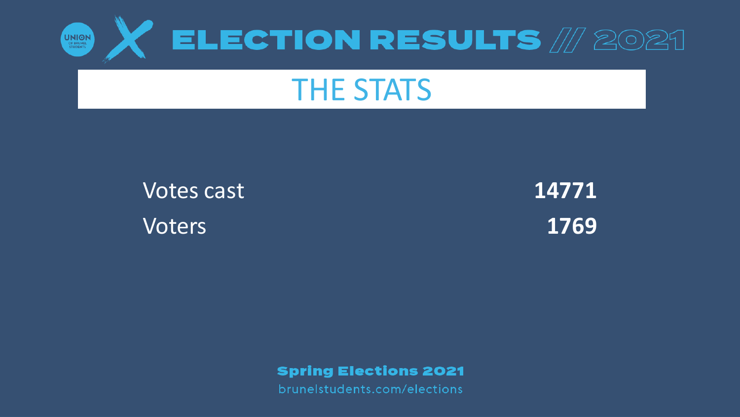

### **THE STATS**

**Votes cast Voters** 

14771 1769

**Spring Elections 2021**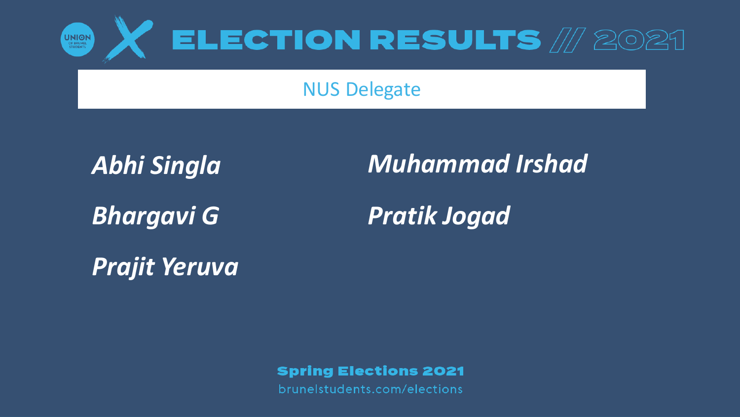

#### NUS Delegate

*Abhi Singla*

*Bhargavi G*

*Muhammad Irshad*

*Pratik Jogad*

*Prajit Yeruva*

**Spring Elections 2021**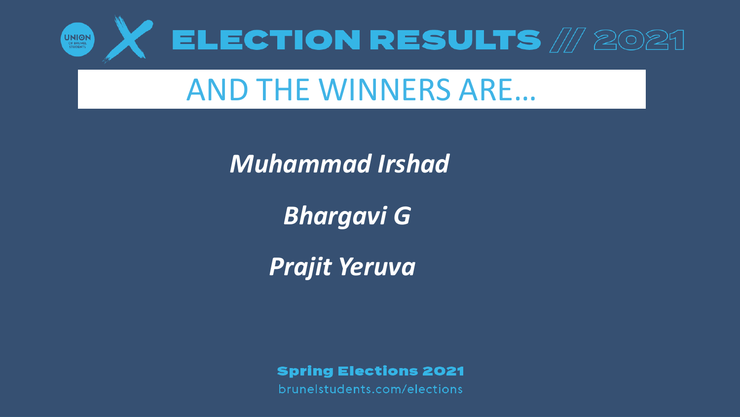

## AND THE WINNERS ARE…

*Muhammad Irshad*

*Bhargavi G*

*Prajit Yeruva*

**Spring Elections 2021**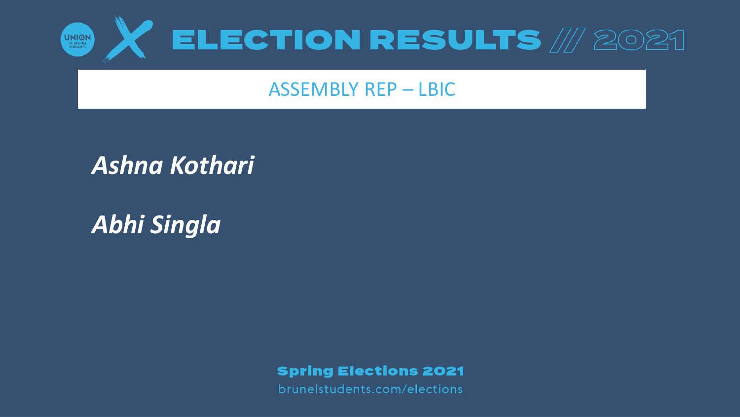

#### ASSEMBLY REP – LBIC

#### *Ashna Kothari*

*Abhi Singla*

**Spring Elections 2021**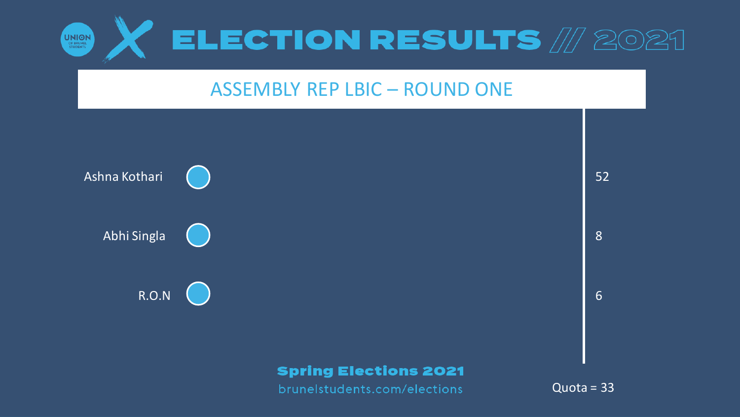

#### ASSEMBLY REP LBIC – ROUND ONE

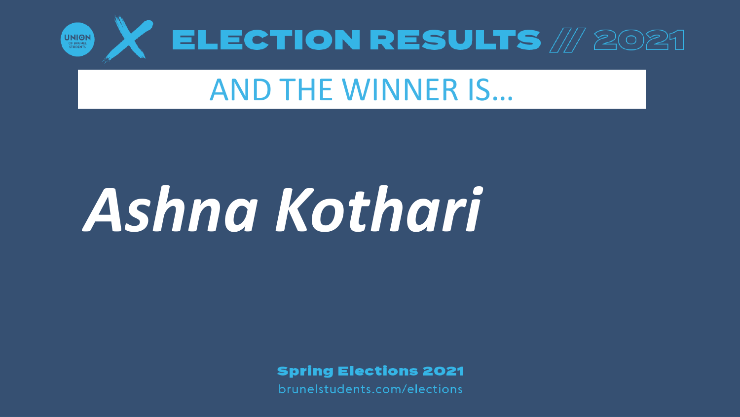

## AND THE WINNER IS…

# *Ashna Kothari*

**Spring Elections 2021**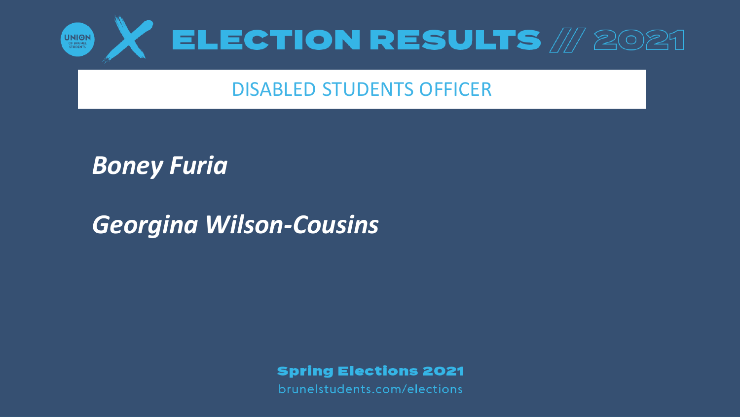

#### DISABLED STUDENTS OFFICER

#### *Boney Furia*

#### *Georgina Wilson-Cousins*

#### **Spring Elections 2021**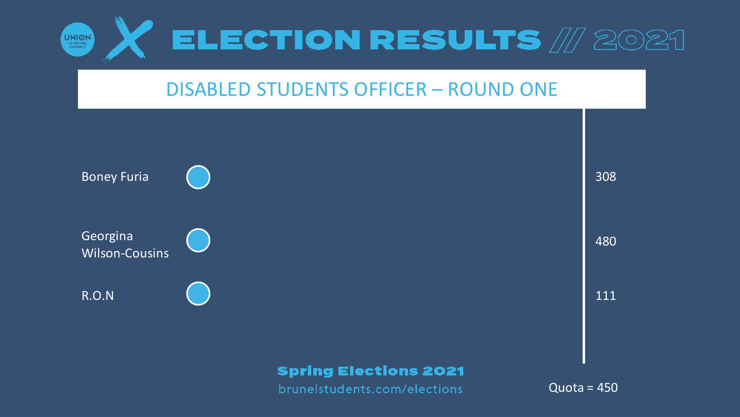

#### DISABLED STUDENTS OFFICER – ROUND ONE

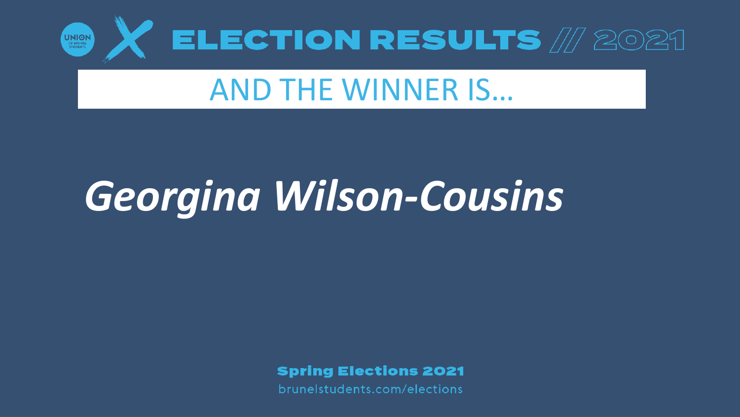

## AND THE WINNER IS…

## *Georgina Wilson-Cousins*

**Spring Elections 2021**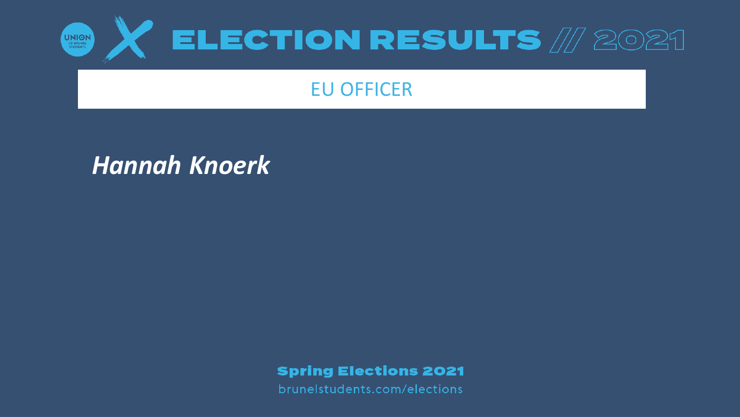

#### EU OFFICER

#### *Hannah Knoerk*

**Spring Elections 2021**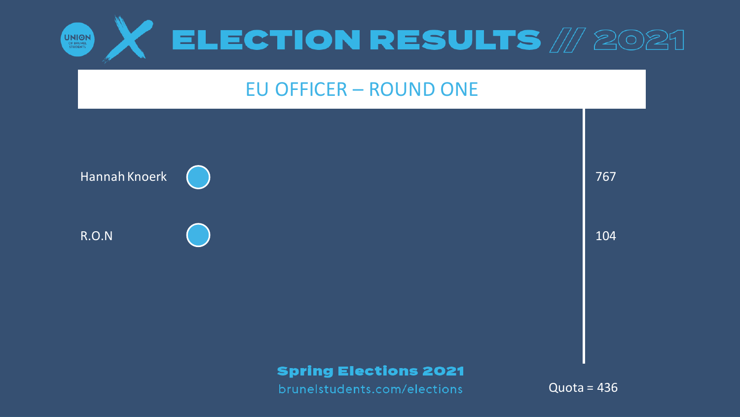

#### **EU OFFICER - ROUND ONE**

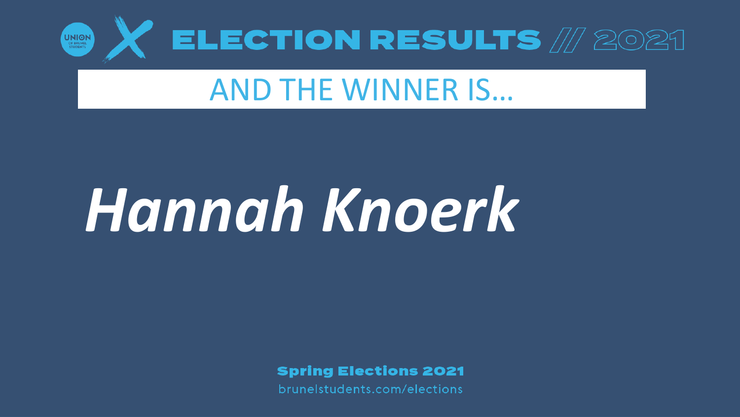

## AND THE WINNER IS…

# *Hannah Knoerk*

**Spring Elections 2021**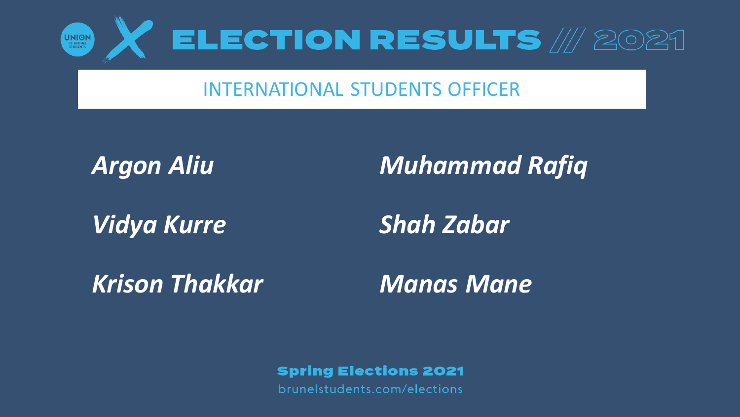

#### INTERNATIONAL STUDENTS OFFICER

*Argon Aliu*

*Vidya Kurre*

*Muhammad Rafiq*

*Shah Zabar*

*Krison Thakkar Manas Mane*

**Spring Elections 2021**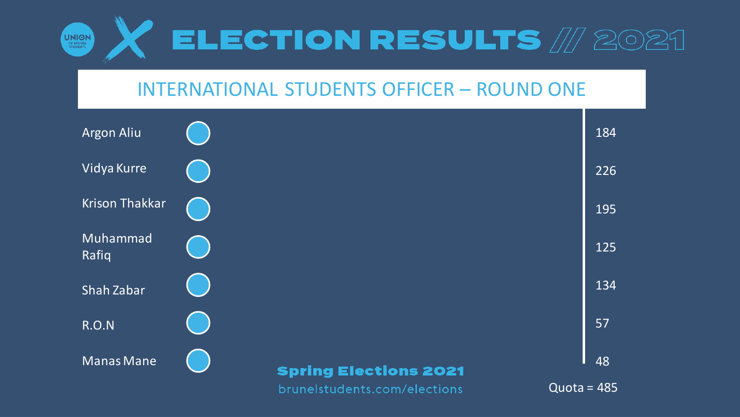

#### INTERNATIONAL STUDENTS OFFICER – ROUND ONE

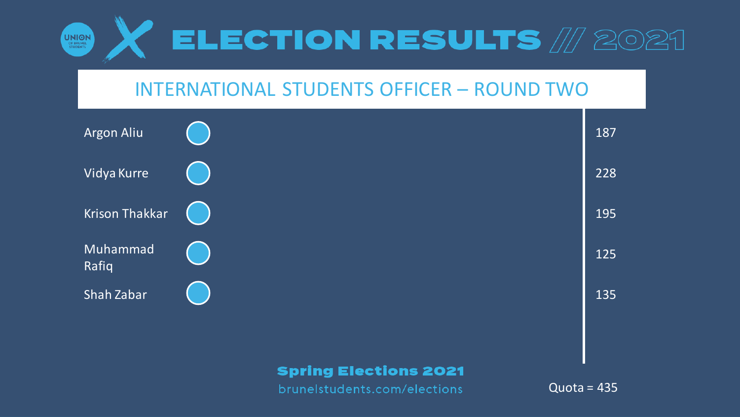

#### INTERNATIONAL STUDENTS OFFICER – ROUND TWO



brunelstudents.com/elections

 $Quota = 435$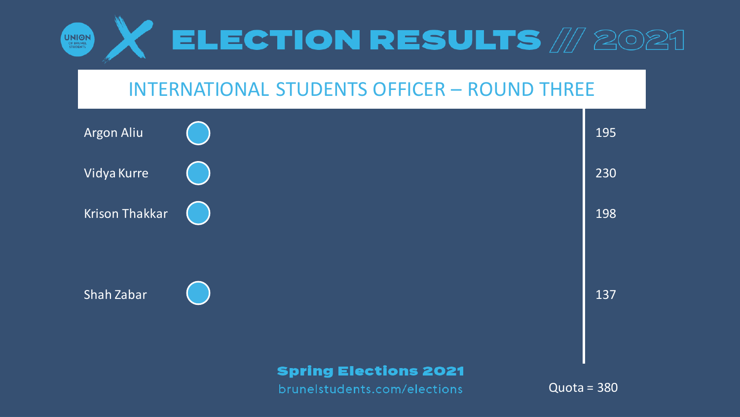

#### INTERNATIONAL STUDENTS OFFICER – ROUND THREE

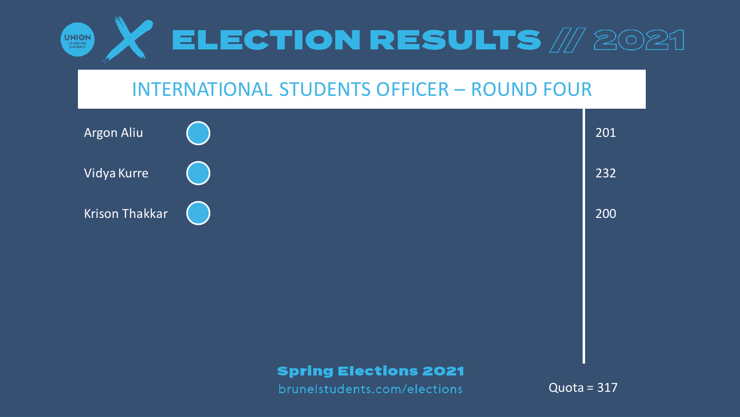

#### INTERNATIONAL STUDENTS OFFICER – ROUND FOUR

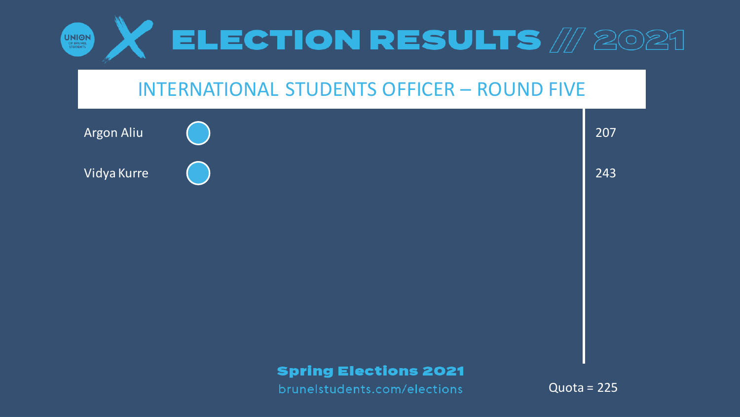

#### INTERNATIONAL STUDENTS OFFICER – ROUND FIVE

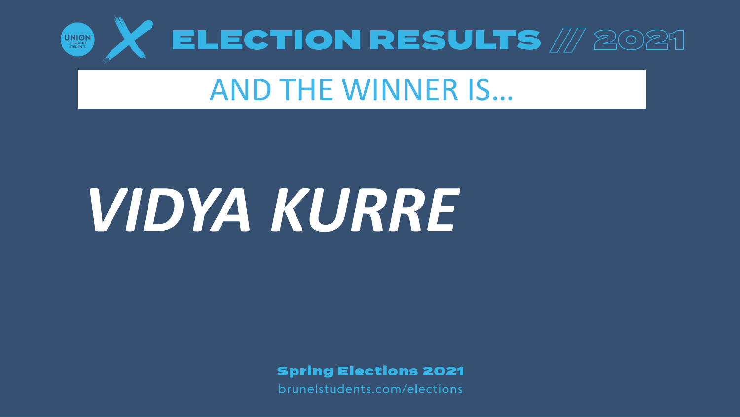

## **AND THE WINNER IS...**

# VIDYA KURRE

**Spring Elections 2021**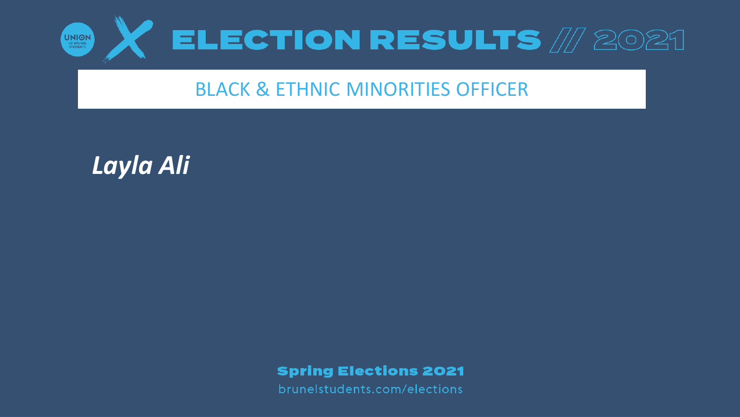

#### BLACK & ETHNIC MINORITIES OFFICER

*Layla Ali*

**Spring Elections 2021**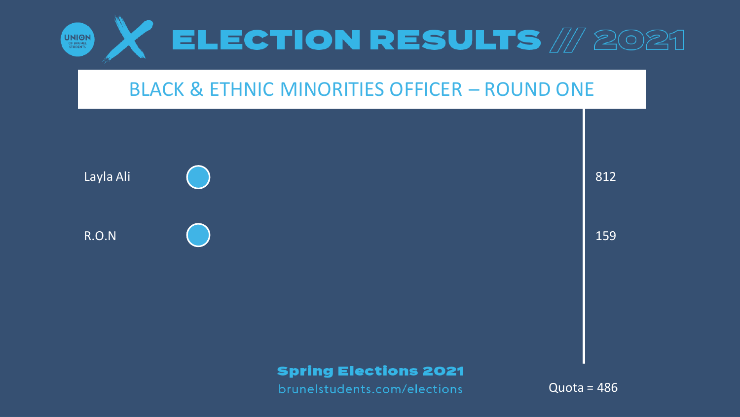

#### **BLACK & ETHNIC MINORITIES OFFICER - ROUND ONE**



812

159

#### **Spring Elections 2021**

brunelstudents.com/elections

Quota =  $486$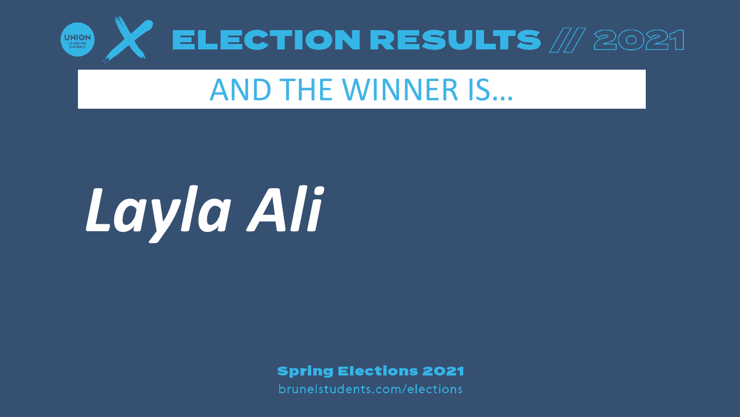

## AND THE WINNER IS…

# *Layla Ali*

**Spring Elections 2021**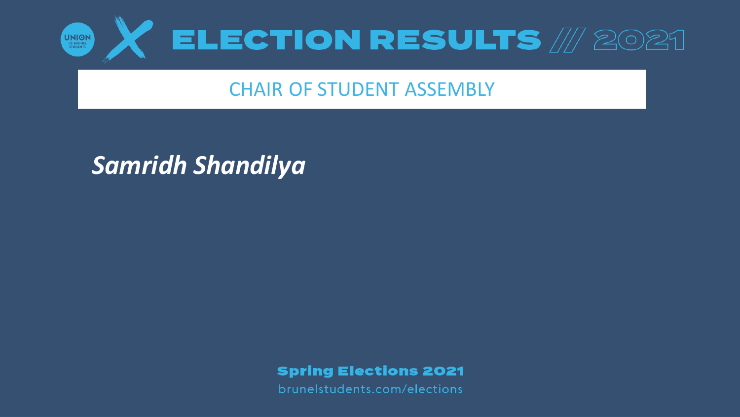

#### CHAIR OF STUDENT ASSEMBLY

#### *Samridh Shandilya*

**Spring Elections 2021**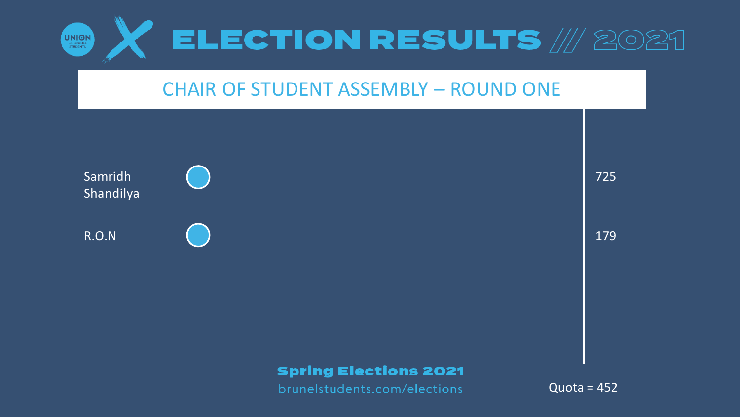

#### CHAIR OF STUDENT ASSEMBLY – ROUND ONE



725

179

#### **Spring Elections 2021**

brunelstudents.com/elections

 $Quota = 452$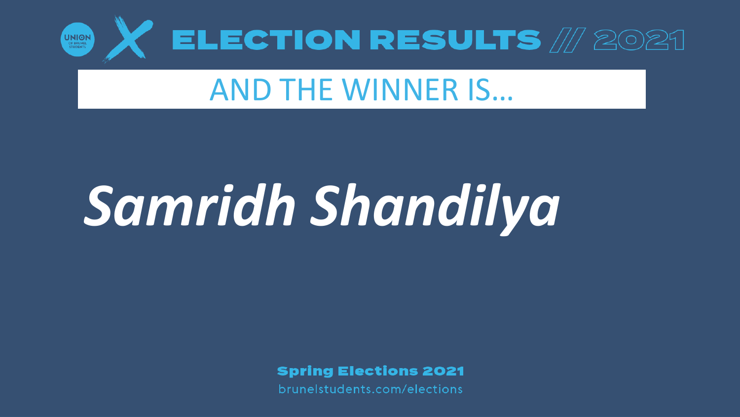

## AND THE WINNER IS…

# *Samridh Shandilya*

**Spring Elections 2021**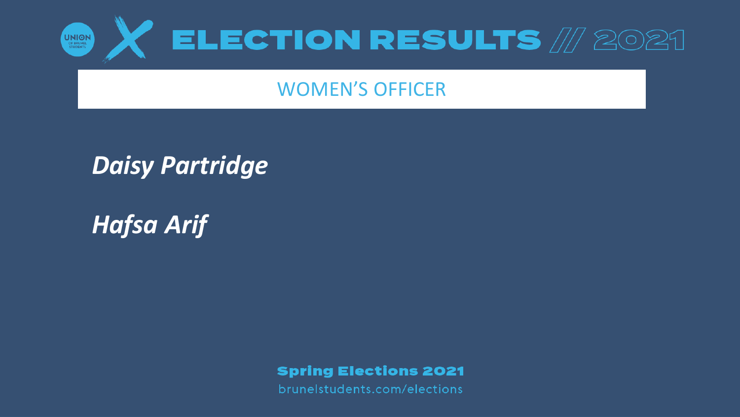

#### WOMEN'S OFFICER

#### *Daisy Partridge*

*Hafsa Arif*

**Spring Elections 2021**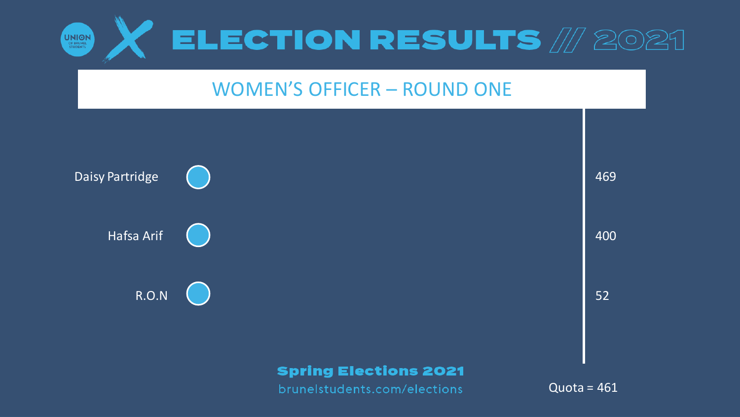

#### WOMEN'S OFFICER – ROUND ONE

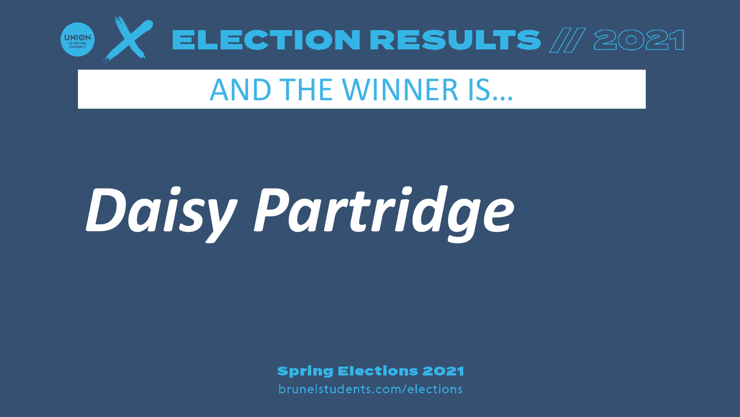

## AND THE WINNER IS…

# *Daisy Partridge*

**Spring Elections 2021**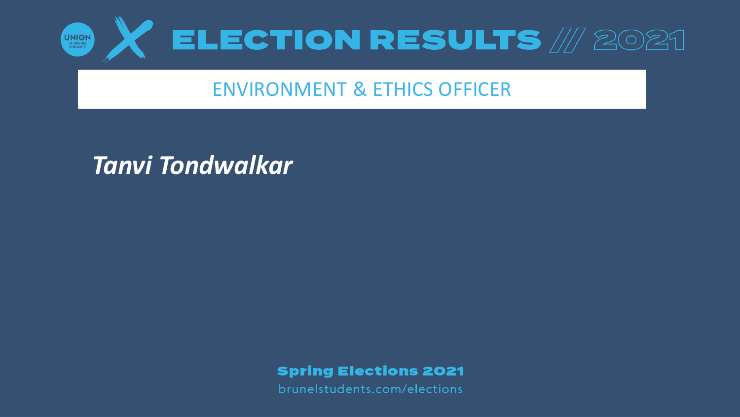

#### ENVIRONMENT & ETHICS OFFICER

#### *Tanvi Tondwalkar*

**Spring Elections 2021**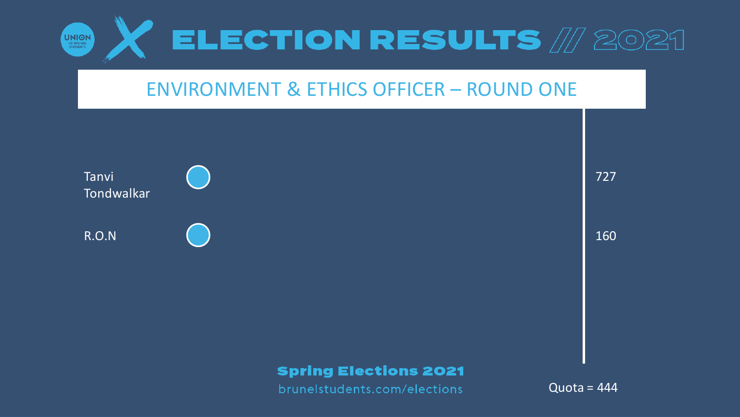

#### **ENVIRONMENT & ETHICS OFFICER - ROUND ONE**



727

160

#### **Spring Elections 2021**

brunelstudents.com/elections

Quota =  $444$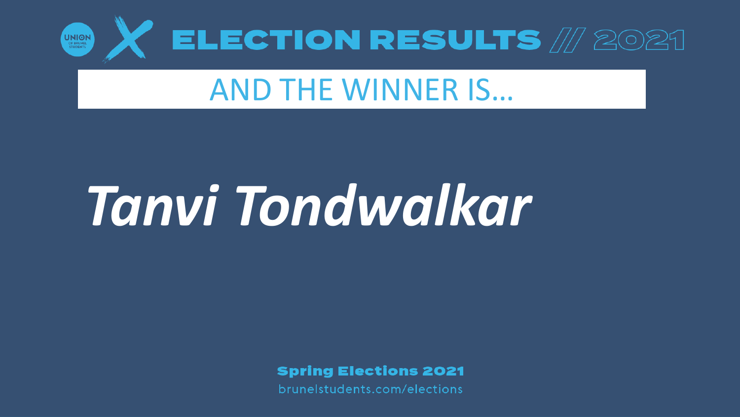

## **AND THE WINNER IS...**

## Tanvi Tondwalkar

**Spring Elections 2021**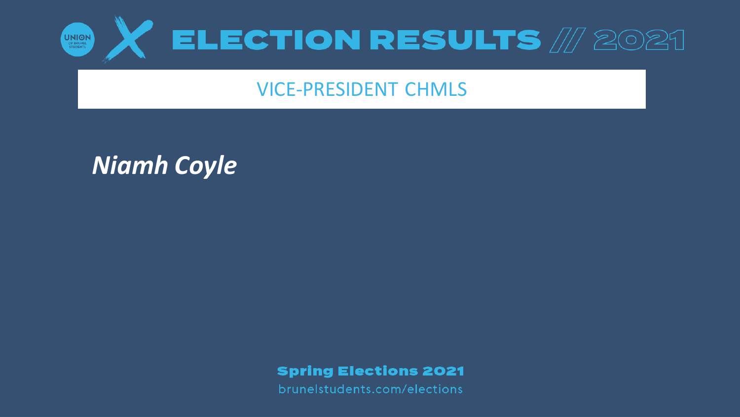

#### VICE-PRESIDENT CHMLS

*Niamh Coyle*

**Spring Elections 2021**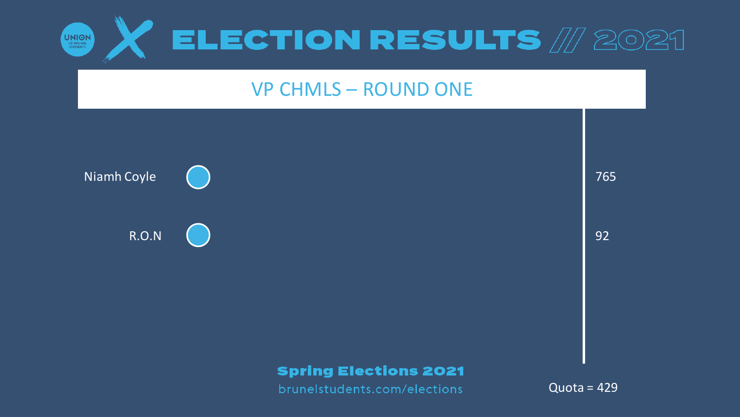

#### **VP CHMLS - ROUND ONE**

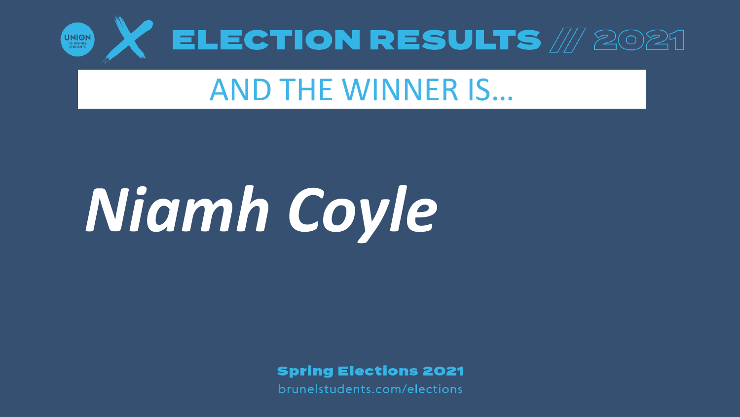

## **AND THE WINNER IS...**

# Niamh Coyle

**Spring Elections 2021**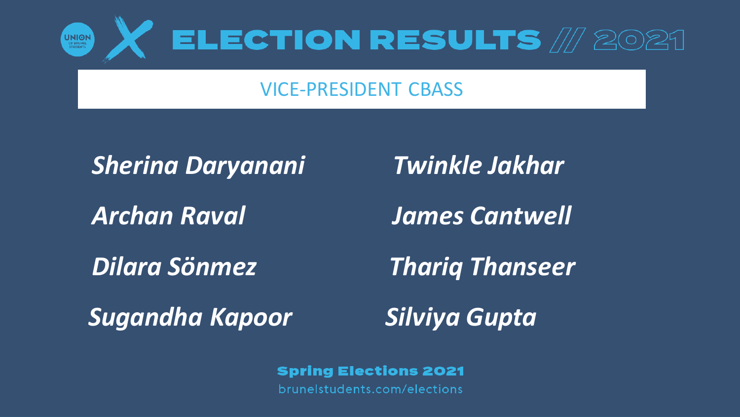

#### VICE-PRESIDENT CBASS

#### *Sherina Daryanani*

*Archan Raval*

*Dilara Sönmez*

*Twinkle Jakhar*

*James Cantwell*

*Thariq Thanseer*

*Sugandha Kapoor*

*Silviya Gupta*

**Spring Elections 2021**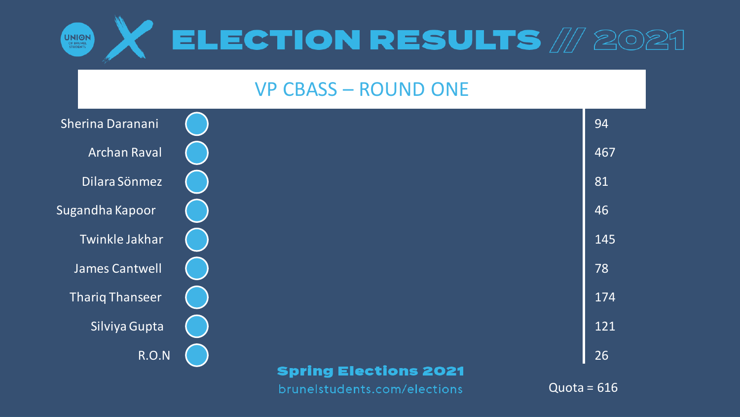

#### VP CBASS – ROUND ONE

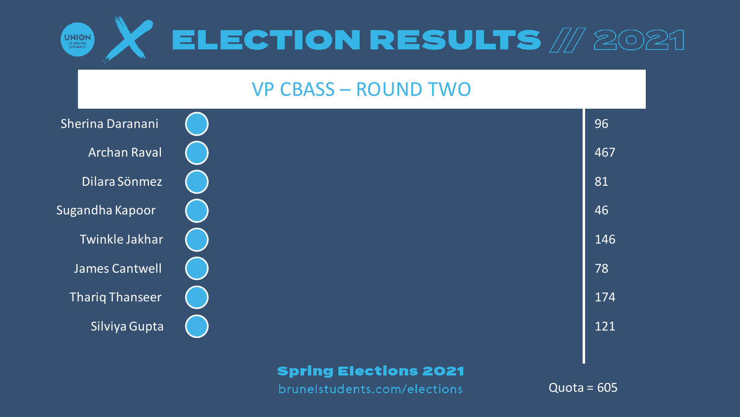

#### VP CBASS – ROUND TWO



brunelstudents.com/elections

 $Quota = 605$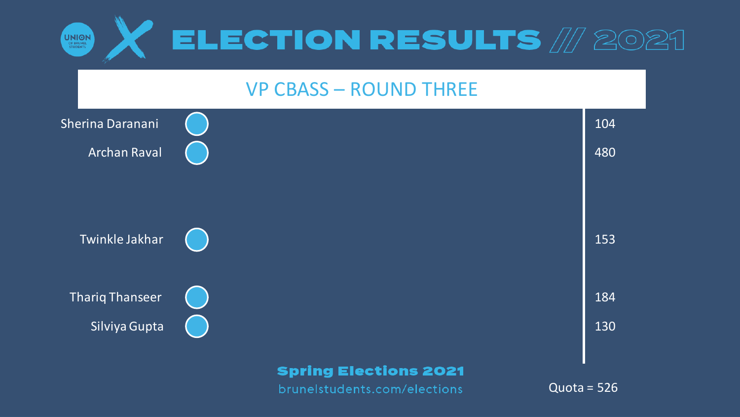

#### VP CBASS – ROUND THREE

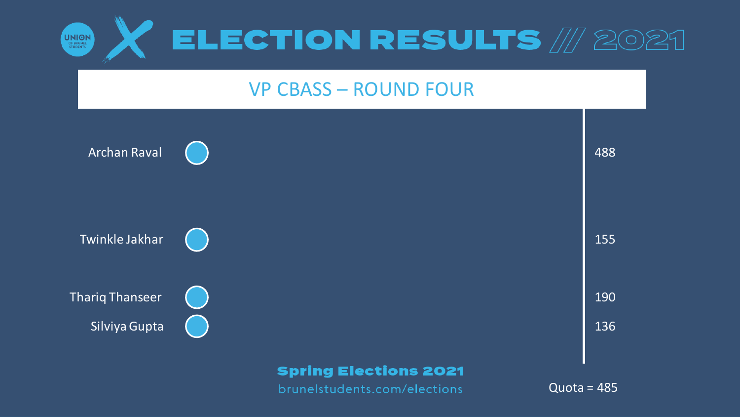

#### **VP CBASS - ROUND FOUR**

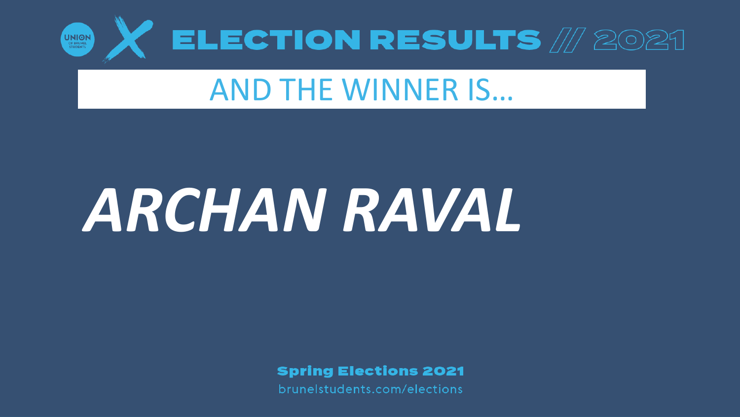

## **AND THE WINNER IS...**

# ARCHANRAVAL

**Spring Elections 2021**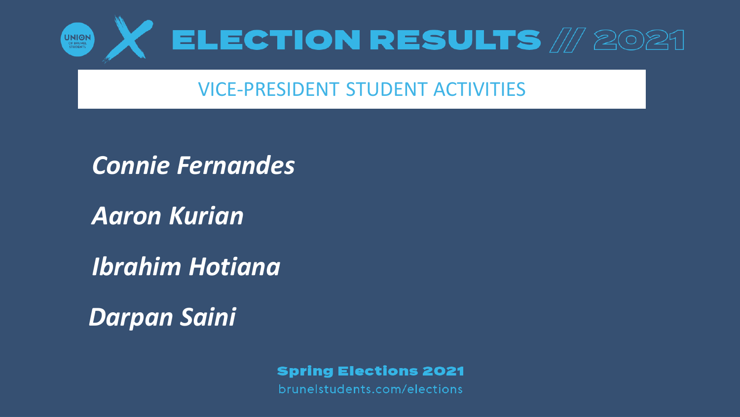

#### VICE-PRESIDENT STUDENT ACTIVITIES

*Connie Fernandes*

*Aaron Kurian*

*Ibrahim Hotiana*

*Darpan Saini*

**Spring Elections 2021**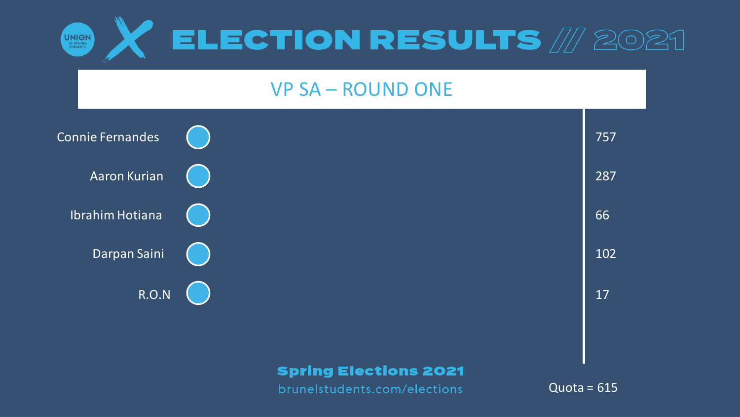

#### VP SA – ROUND ONE

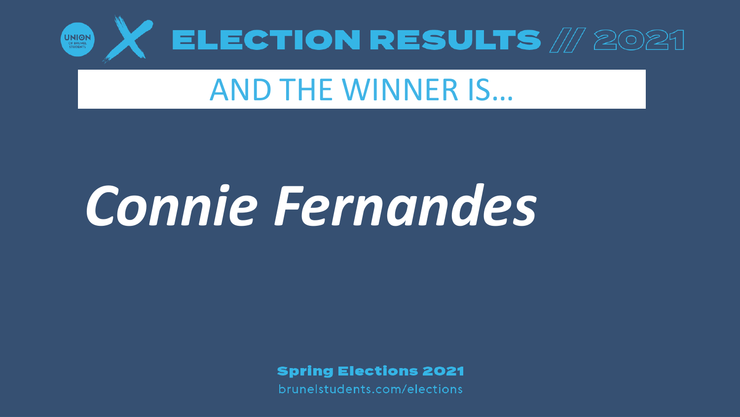

## AND THE WINNER IS…

## *Connie Fernandes*

**Spring Elections 2021**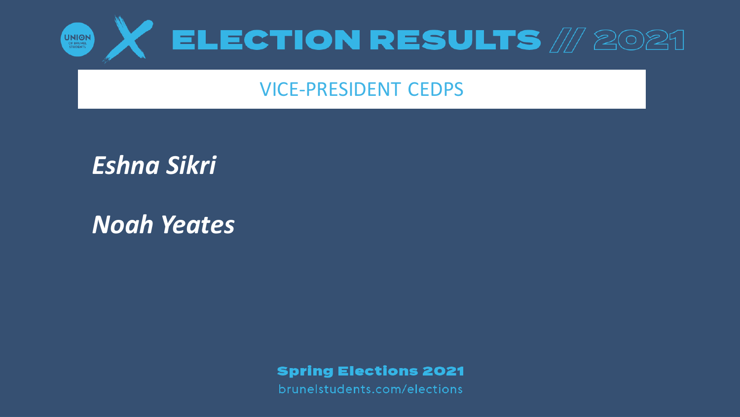

#### VICE-PRESIDENT CEDPS

*Eshna Sikri*

*Noah Yeates*

**Spring Elections 2021**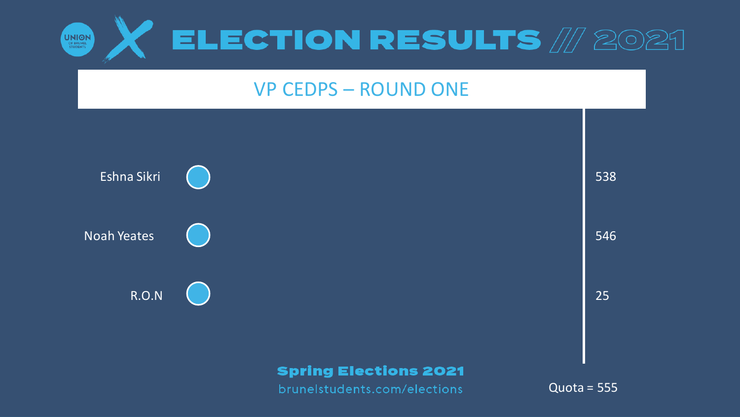

#### **VP CEDPS - ROUND ONE**

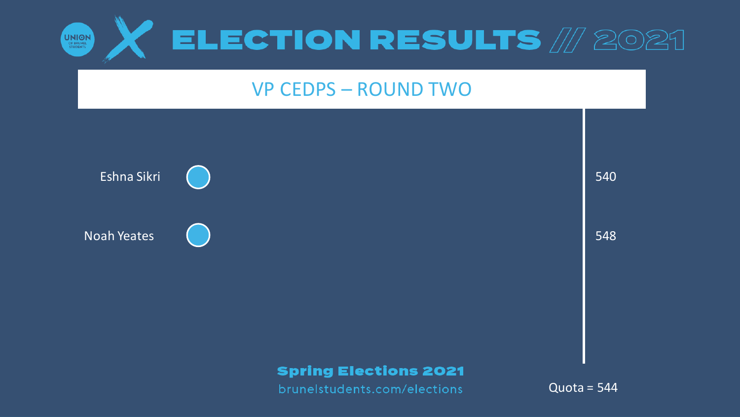

#### **VP CEDPS - ROUND TWO**

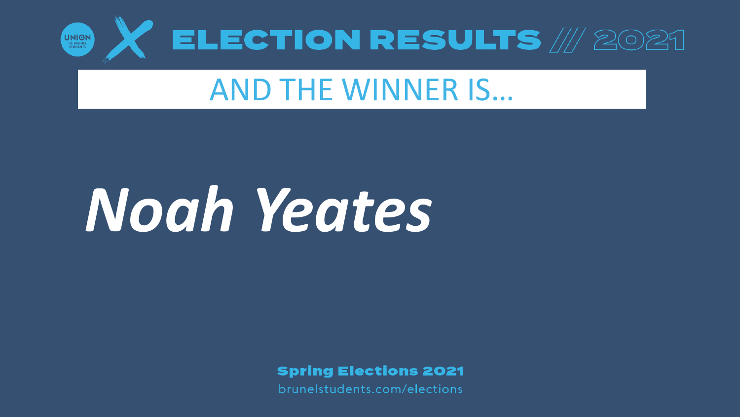

## AND THE WINNER IS…

# *Noah Yeates*

**Spring Elections 2021**